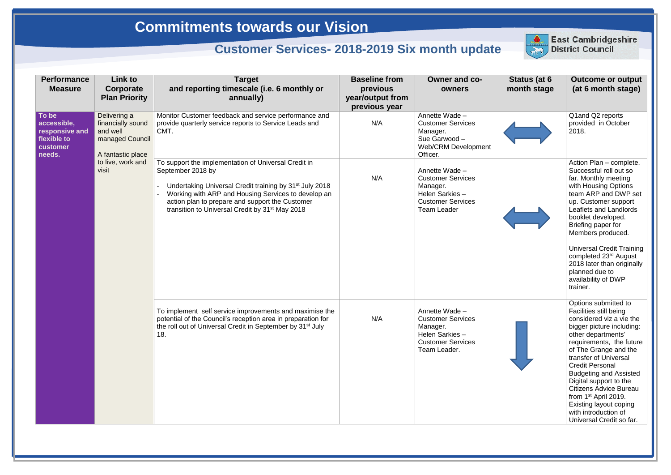| <b>Performance</b><br><b>Measure</b>                                        | Link to<br>Corporate<br><b>Plan Priority</b>                                          | <b>Target</b><br>and reporting timescale (i.e. 6 monthly or<br>annually)                                                                                                                                                                                                                                                  | <b>Baseline from</b><br>previous<br>year/output from<br>previous year | <b>Owner and co-</b><br>owners                                                                                             | Status (at 6<br>month stage | <b>Outcome or output</b><br>(at 6 month stage)                                                                                                                                                                                                                                                                                                                                                                                                             |
|-----------------------------------------------------------------------------|---------------------------------------------------------------------------------------|---------------------------------------------------------------------------------------------------------------------------------------------------------------------------------------------------------------------------------------------------------------------------------------------------------------------------|-----------------------------------------------------------------------|----------------------------------------------------------------------------------------------------------------------------|-----------------------------|------------------------------------------------------------------------------------------------------------------------------------------------------------------------------------------------------------------------------------------------------------------------------------------------------------------------------------------------------------------------------------------------------------------------------------------------------------|
| To be<br>accessible,<br>responsive and<br>flexible to<br>customer<br>needs. | Delivering a<br>financially sound<br>and well<br>managed Council<br>A fantastic place | Monitor Customer feedback and service performance and<br>provide quarterly service reports to Service Leads and<br>CMT.                                                                                                                                                                                                   | N/A                                                                   | Annette Wade-<br><b>Customer Services</b><br>Manager.<br>Sue Garwood-<br>Web/CRM Development<br>Officer.                   |                             | Q1 and Q2 reports<br>provided in October<br>2018.                                                                                                                                                                                                                                                                                                                                                                                                          |
|                                                                             | to live, work and<br>visit                                                            | To support the implementation of Universal Credit in<br>September 2018 by<br>Undertaking Universal Credit training by 31 <sup>st</sup> July 2018<br>Working with ARP and Housing Services to develop an<br>action plan to prepare and support the Customer<br>transition to Universal Credit by 31 <sup>st</sup> May 2018 | N/A                                                                   | Annette Wade -<br><b>Customer Services</b><br>Manager.<br>Helen Sarkies-<br><b>Customer Services</b><br><b>Team Leader</b> |                             | Action Plan - complete.<br>Successful roll out so<br>far. Monthly meeting<br>with Housing Options<br>team ARP and DWP set<br>up. Customer support<br>Leaflets and Landlords<br>booklet developed.<br>Briefing paper for<br>Members produced.<br><b>Universal Credit Training</b><br>completed 23 <sup>rd</sup> August<br>2018 later than originally<br>planned due to<br>availability of DWP<br>trainer.                                                   |
|                                                                             |                                                                                       | To implement self service improvements and maximise the<br>potential of the Council's reception area in preparation for<br>the roll out of Universal Credit in September by 31 <sup>st</sup> July<br>18.                                                                                                                  | N/A                                                                   | Annette Wade -<br><b>Customer Services</b><br>Manager.<br>Helen Sarkies-<br><b>Customer Services</b><br>Team Leader.       |                             | Options submitted to<br>Facilities still being<br>considered viz a vie the<br>bigger picture including:<br>other departments'<br>requirements, the future<br>of The Grange and the<br>transfer of Universal<br><b>Credit Personal</b><br><b>Budgeting and Assisted</b><br>Digital support to the<br><b>Citizens Advice Bureau</b><br>from 1 <sup>st</sup> April 2019.<br><b>Existing layout coping</b><br>with introduction of<br>Universal Credit so far. |



## **East Cambridgeshire**<br>District Council

## **Commitments towards our Vision**

## **Customer Services- 2018-2019 Six month update**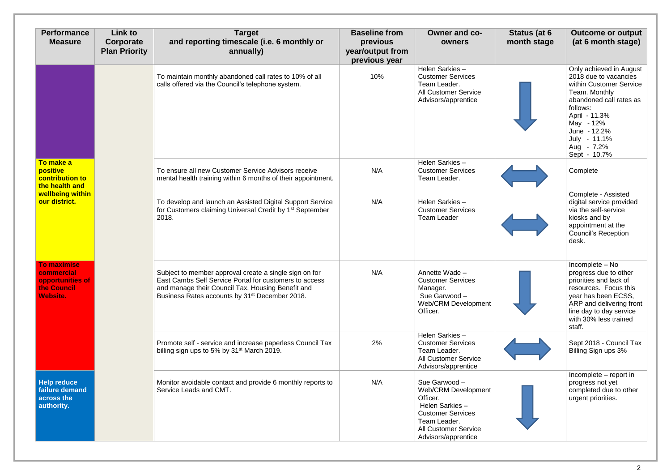| <b>Performance</b><br><b>Measure</b>                                                                   | Link to<br>Corporate<br><b>Plan Priority</b> | <b>Target</b><br>and reporting timescale (i.e. 6 monthly or<br>annually)                                                                                                                                                            | <b>Baseline from</b><br>previous<br>year/output from<br>previous year | <b>Owner and co-</b><br>owners                                                                                                                                              | Status (at 6<br>month stage | <b>Outcome or output</b><br>(at 6 month stage)                                                                                                                                                                                  |
|--------------------------------------------------------------------------------------------------------|----------------------------------------------|-------------------------------------------------------------------------------------------------------------------------------------------------------------------------------------------------------------------------------------|-----------------------------------------------------------------------|-----------------------------------------------------------------------------------------------------------------------------------------------------------------------------|-----------------------------|---------------------------------------------------------------------------------------------------------------------------------------------------------------------------------------------------------------------------------|
|                                                                                                        |                                              | To maintain monthly abandoned call rates to 10% of all<br>calls offered via the Council's telephone system.                                                                                                                         | 10%                                                                   | Helen Sarkies-<br><b>Customer Services</b><br>Team Leader.<br><b>All Customer Service</b><br>Advisors/apprentice                                                            |                             | Only achieved in August<br>2018 due to vacancies<br>within Customer Service<br>Team. Monthly<br>abandoned call rates as<br>follows:<br>April - 11.3%<br>May - 12%<br>June - 12.2%<br>July - 11.1%<br>Aug - 7.2%<br>Sept - 10.7% |
| To make a<br>positive<br><b>contribution to</b><br>the health and<br>wellbeing within<br>our district. |                                              | To ensure all new Customer Service Advisors receive<br>mental health training within 6 months of their appointment.                                                                                                                 | N/A                                                                   | Helen Sarkies-<br><b>Customer Services</b><br>Team Leader.                                                                                                                  |                             | Complete                                                                                                                                                                                                                        |
|                                                                                                        |                                              | To develop and launch an Assisted Digital Support Service<br>for Customers claiming Universal Credit by 1 <sup>st</sup> September<br>2018.                                                                                          | N/A                                                                   | Helen Sarkies-<br><b>Customer Services</b><br><b>Team Leader</b>                                                                                                            |                             | Complete - Assisted<br>digital service provided<br>via the self-service<br>kiosks and by<br>appointment at the<br><b>Council's Reception</b><br>desk.                                                                           |
| <b>To maximise</b><br>commercial<br>opportunities of<br>the Council<br><b>Website.</b>                 |                                              | Subject to member approval create a single sign on for<br>East Cambs Self Service Portal for customers to access<br>and manage their Council Tax, Housing Benefit and<br>Business Rates accounts by 31 <sup>st</sup> December 2018. | N/A                                                                   | Annette Wade -<br><b>Customer Services</b><br>Manager.<br>Sue Garwood -<br><b>Web/CRM Development</b><br>Officer.                                                           |                             | Incomplete - No<br>progress due to other<br>priorities and lack of<br>resources. Focus this<br>year has been ECSS,<br>ARP and delivering front<br>line day to day service<br>with 30% less trained<br>staff.                    |
|                                                                                                        |                                              | Promote self - service and increase paperless Council Tax<br>billing sign ups to 5% by 31 <sup>st</sup> March 2019.                                                                                                                 | 2%                                                                    | Helen Sarkies-<br><b>Customer Services</b><br>Team Leader.<br><b>All Customer Service</b><br>Advisors/apprentice                                                            |                             | Sept 2018 - Council Tax<br>Billing Sign ups 3%                                                                                                                                                                                  |
| <b>Help reduce</b><br>failure demand<br>across the<br>authority.                                       |                                              | Monitor avoidable contact and provide 6 monthly reports to<br>Service Leads and CMT.                                                                                                                                                | N/A                                                                   | Sue Garwood -<br><b>Web/CRM Development</b><br>Officer.<br>Helen Sarkies-<br><b>Customer Services</b><br>Team Leader.<br><b>All Customer Service</b><br>Advisors/apprentice |                             | Incomplete – report in<br>progress not yet<br>completed due to other<br>urgent priorities.                                                                                                                                      |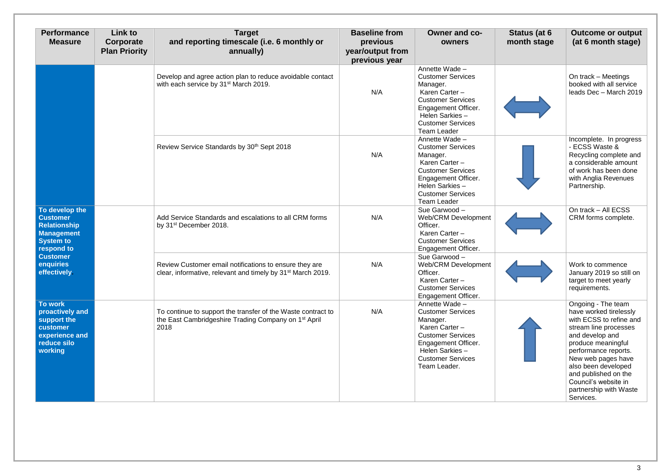| <b>Performance</b><br><b>Measure</b>                                                                                                                            | Link to<br>Corporate<br><b>Plan Priority</b> | <b>Target</b><br>and reporting timescale (i.e. 6 monthly or<br>annually)                                                                 | <b>Baseline from</b><br>previous<br>year/output from<br>previous year | Owner and co-<br>owners                                                                                                                                                                         | Status (at 6<br>month stage | <b>Outcome or output</b><br>(at 6 month stage)                                                                                                                                                                                                                                                        |
|-----------------------------------------------------------------------------------------------------------------------------------------------------------------|----------------------------------------------|------------------------------------------------------------------------------------------------------------------------------------------|-----------------------------------------------------------------------|-------------------------------------------------------------------------------------------------------------------------------------------------------------------------------------------------|-----------------------------|-------------------------------------------------------------------------------------------------------------------------------------------------------------------------------------------------------------------------------------------------------------------------------------------------------|
|                                                                                                                                                                 |                                              | Develop and agree action plan to reduce avoidable contact<br>with each service by 31 <sup>st</sup> March 2019.                           | N/A                                                                   | Annette Wade -<br><b>Customer Services</b><br>Manager.<br>Karen Carter -<br><b>Customer Services</b><br>Engagement Officer.<br>Helen Sarkies-<br><b>Customer Services</b><br><b>Team Leader</b> |                             | On track - Meetings<br>booked with all service<br>leads Dec - March 2019                                                                                                                                                                                                                              |
|                                                                                                                                                                 |                                              | Review Service Standards by 30 <sup>th</sup> Sept 2018                                                                                   | N/A                                                                   | Annette Wade -<br><b>Customer Services</b><br>Manager.<br>Karen Carter -<br><b>Customer Services</b><br>Engagement Officer.<br>Helen Sarkies-<br><b>Customer Services</b><br><b>Team Leader</b> |                             | Incomplete. In progress<br>- ECSS Waste &<br>Recycling complete and<br>a considerable amount<br>of work has been done<br>with Anglia Revenues<br>Partnership.                                                                                                                                         |
| To develop the<br><b>Customer</b><br><b>Relationship</b><br><b>Management</b><br><b>System to</b><br>respond to<br><b>Customer</b><br>enquiries<br>effectively. |                                              | Add Service Standards and escalations to all CRM forms<br>by 31 <sup>st</sup> December 2018.                                             | N/A                                                                   | Sue Garwood -<br>Web/CRM Development<br>Officer.<br>Karen Carter -<br><b>Customer Services</b><br>Engagement Officer.                                                                           |                             | On track - All ECSS<br>CRM forms complete.                                                                                                                                                                                                                                                            |
|                                                                                                                                                                 |                                              | Review Customer email notifications to ensure they are<br>clear, informative, relevant and timely by 31 <sup>st</sup> March 2019.        | N/A                                                                   | Sue Garwood -<br><b>Web/CRM Development</b><br>Officer.<br>Karen Carter -<br><b>Customer Services</b><br><b>Engagement Officer.</b>                                                             |                             | Work to commence<br>January 2019 so still on<br>target to meet yearly<br>requirements.                                                                                                                                                                                                                |
| <b>To work</b><br>proactively and<br>support the<br>customer<br>experience and<br>reduce silo<br>working                                                        |                                              | To continue to support the transfer of the Waste contract to<br>the East Cambridgeshire Trading Company on 1 <sup>st</sup> April<br>2018 | N/A                                                                   | Annette Wade -<br><b>Customer Services</b><br>Manager.<br>Karen Carter -<br><b>Customer Services</b><br>Engagement Officer.<br>Helen Sarkies-<br><b>Customer Services</b><br>Team Leader.       |                             | Ongoing - The team<br>have worked tirelessly<br>with ECSS to refine and<br>stream line processes<br>and develop and<br>produce meaningful<br>performance reports.<br>New web pages have<br>also been developed<br>and published on the<br>Council's website in<br>partnership with Waste<br>Services. |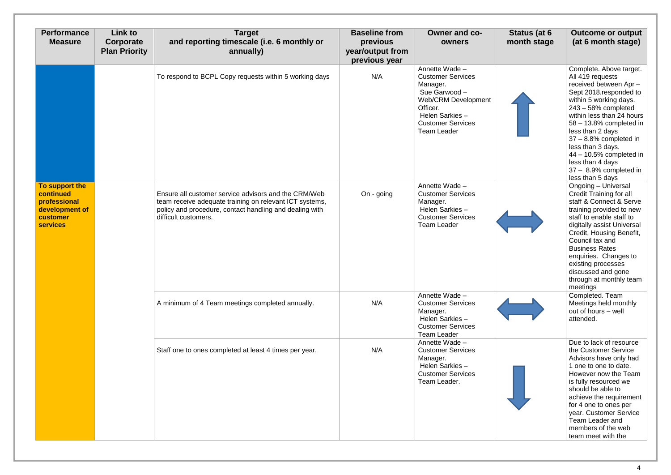| <b>Performance</b><br><b>Measure</b>                                                         | <b>Link to</b><br>Corporate<br><b>Plan Priority</b> | <b>Target</b><br>and reporting timescale (i.e. 6 monthly or<br>annually)                                                                                                                           | <b>Baseline from</b><br>previous<br>year/output from<br>previous year | Owner and co-<br>owners                                                                                                                                                        | Status (at 6<br>month stage | <b>Outcome or output</b><br>(at 6 month stage)                                                                                                                                                                                                                                                                                                                                 |
|----------------------------------------------------------------------------------------------|-----------------------------------------------------|----------------------------------------------------------------------------------------------------------------------------------------------------------------------------------------------------|-----------------------------------------------------------------------|--------------------------------------------------------------------------------------------------------------------------------------------------------------------------------|-----------------------------|--------------------------------------------------------------------------------------------------------------------------------------------------------------------------------------------------------------------------------------------------------------------------------------------------------------------------------------------------------------------------------|
|                                                                                              |                                                     | To respond to BCPL Copy requests within 5 working days                                                                                                                                             | N/A                                                                   | Annette Wade -<br><b>Customer Services</b><br>Manager.<br>Sue Garwood -<br>Web/CRM Development<br>Officer.<br>Helen Sarkies-<br><b>Customer Services</b><br><b>Team Leader</b> |                             | Complete. Above target.<br>All 419 requests<br>received between Apr-<br>Sept 2018.responded to<br>within 5 working days.<br>$243 - 58%$ completed<br>within less than 24 hours<br>58 - 13.8% completed in<br>less than 2 days<br>$37 - 8.8\%$ completed in<br>less than 3 days.<br>$44 - 10.5%$ completed in<br>less than 4 days<br>37 - 8.9% completed in<br>less than 5 days |
| To support the<br>continued<br>professional<br>development of<br>customer<br><b>services</b> |                                                     | Ensure all customer service advisors and the CRM/Web<br>team receive adequate training on relevant ICT systems,<br>policy and procedure, contact handling and dealing with<br>difficult customers. | On - going                                                            | Annette Wade -<br><b>Customer Services</b><br>Manager.<br>Helen Sarkies-<br><b>Customer Services</b><br><b>Team Leader</b>                                                     |                             | Ongoing - Universal<br><b>Credit Training for all</b><br>staff & Connect & Serve<br>training provided to new<br>staff to enable staff to<br>digitally assist Universal<br>Credit, Housing Benefit,<br>Council tax and<br><b>Business Rates</b><br>enquiries. Changes to<br>existing processes<br>discussed and gone<br>through at monthly team<br>meetings                     |
|                                                                                              |                                                     | A minimum of 4 Team meetings completed annually.                                                                                                                                                   | N/A                                                                   | Annette Wade -<br><b>Customer Services</b><br>Manager.<br>Helen Sarkies-<br><b>Customer Services</b><br><b>Team Leader</b>                                                     |                             | Completed. Team<br>Meetings held monthly<br>out of hours - well<br>attended.                                                                                                                                                                                                                                                                                                   |
|                                                                                              |                                                     | Staff one to ones completed at least 4 times per year.                                                                                                                                             | N/A                                                                   | Annette Wade -<br><b>Customer Services</b><br>Manager.<br>Helen Sarkies-<br><b>Customer Services</b><br>Team Leader.                                                           |                             | Due to lack of resource<br>the Customer Service<br>Advisors have only had<br>1 one to one to date.<br>However now the Team<br>is fully resourced we<br>should be able to<br>achieve the requirement<br>for 4 one to ones per<br>year. Customer Service<br>Team Leader and<br>members of the web<br>team meet with the                                                          |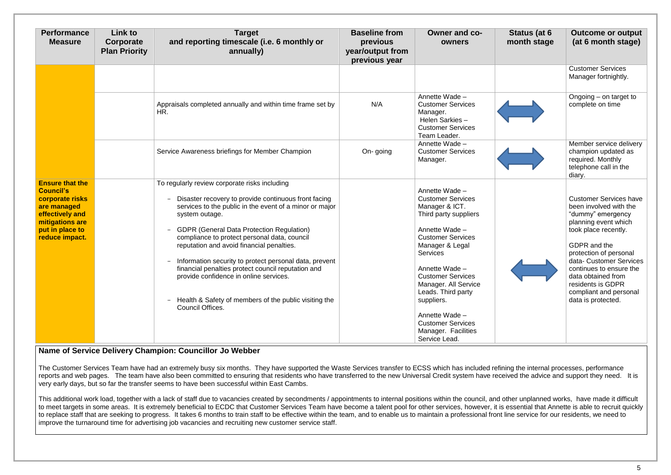| <b>Performance</b><br><b>Measure</b>                                                                                                                    | Link to<br>Corporate<br><b>Plan Priority</b> | <b>Target</b><br>and reporting timescale (i.e. 6 monthly or<br>annually)                                                                                                                                                                                                                                                                                                                                                                                                                                                                                                                                      | <b>Baseline from</b><br>previous<br>year/output from<br>previous year | <b>Owner and co-</b><br>owners                                                                                                                                                                                                                                                                                                                                            | Status (at 6<br>month stage | <b>Outcome or output</b><br>(at 6 month stage)                                                                                                                                                                                                                                                                          |
|---------------------------------------------------------------------------------------------------------------------------------------------------------|----------------------------------------------|---------------------------------------------------------------------------------------------------------------------------------------------------------------------------------------------------------------------------------------------------------------------------------------------------------------------------------------------------------------------------------------------------------------------------------------------------------------------------------------------------------------------------------------------------------------------------------------------------------------|-----------------------------------------------------------------------|---------------------------------------------------------------------------------------------------------------------------------------------------------------------------------------------------------------------------------------------------------------------------------------------------------------------------------------------------------------------------|-----------------------------|-------------------------------------------------------------------------------------------------------------------------------------------------------------------------------------------------------------------------------------------------------------------------------------------------------------------------|
|                                                                                                                                                         |                                              |                                                                                                                                                                                                                                                                                                                                                                                                                                                                                                                                                                                                               |                                                                       |                                                                                                                                                                                                                                                                                                                                                                           |                             | <b>Customer Services</b><br>Manager fortnightly.                                                                                                                                                                                                                                                                        |
|                                                                                                                                                         |                                              | Appraisals completed annually and within time frame set by<br>HR.                                                                                                                                                                                                                                                                                                                                                                                                                                                                                                                                             | N/A                                                                   | Annette Wade -<br><b>Customer Services</b><br>Manager.<br>Helen Sarkies-<br><b>Customer Services</b><br>Team Leader.                                                                                                                                                                                                                                                      |                             | Ongoing - on target to<br>complete on time                                                                                                                                                                                                                                                                              |
|                                                                                                                                                         |                                              | Service Awareness briefings for Member Champion                                                                                                                                                                                                                                                                                                                                                                                                                                                                                                                                                               | On-going                                                              | Annette Wade -<br><b>Customer Services</b><br>Manager.                                                                                                                                                                                                                                                                                                                    |                             | Member service delivery<br>champion updated as<br>required. Monthly<br>telephone call in the<br>diary.                                                                                                                                                                                                                  |
| <b>Ensure that the</b><br><b>Council's</b><br>corporate risks<br>are managed<br>effectively and<br>mitigations are<br>put in place to<br>reduce impact. |                                              | To regularly review corporate risks including<br>Disaster recovery to provide continuous front facing<br>services to the public in the event of a minor or major<br>system outage.<br><b>GDPR (General Data Protection Regulation)</b><br>$\overline{\phantom{0}}$<br>compliance to protect personal data, council<br>reputation and avoid financial penalties.<br>Information security to protect personal data, prevent<br>-<br>financial penalties protect council reputation and<br>provide confidence in online services.<br>- Health & Safety of members of the public visiting the<br>Council Offices. |                                                                       | Annette Wade -<br><b>Customer Services</b><br>Manager & ICT.<br>Third party suppliers<br>Annette Wade -<br><b>Customer Services</b><br>Manager & Legal<br><b>Services</b><br>Annette Wade -<br><b>Customer Services</b><br>Manager. All Service<br>Leads. Third party<br>suppliers.<br>Annette Wade -<br><b>Customer Services</b><br>Manager. Facilities<br>Service Lead. |                             | <b>Customer Services have</b><br>been involved with the<br>"dummy" emergency<br>planning event which<br>took place recently.<br>GDPR and the<br>protection of personal<br>data- Customer Services<br>continues to ensure the<br>data obtained from<br>residents is GDPR<br>compliant and personal<br>data is protected. |

This additional work load, together with a lack of staff due to vacancies created by secondments / appointments to internal positions within the council, and other unplanned works, have made it difficult to meet targets in some areas. It is extremely beneficial to ECDC that Customer Services Team have become a talent pool for other services, however, it is essential that Annette is able to recruit quickly to replace staff that are seeking to progress. It takes 6 months to train staff to be effective within the team, and to enable us to maintain a professional front line service for our residents, we need to improve the turnaround time for advertising job vacancies and recruiting new customer service staff.

## **Name of Service Delivery Champion: Councillor Jo Webber**

The Customer Services Team have had an extremely busy six months. They have supported the Waste Services transfer to ECSS which has included refining the internal processes, performance reports and web pages. The team have also been committed to ensuring that residents who have transferred to the new Universal Credit system have received the advice and support they need. It is very early days, but so far the transfer seems to have been successful within East Cambs.